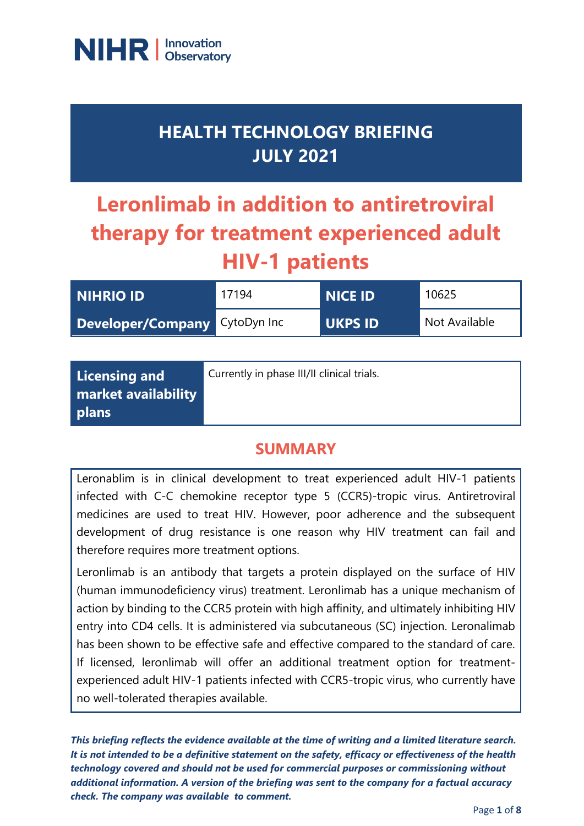

## **HEALTH TECHNOLOGY BRIEFING JULY 2021**

# **Leronlimab in addition to antiretroviral therapy for treatment experienced adult HIV-1 patients**

| <b>NIHRIO ID</b>              | 17194 | NICE ID        | 10625         |
|-------------------------------|-------|----------------|---------------|
| Developer/Company CytoDyn Inc |       | <b>UKPS ID</b> | Not Available |

| Licensing and       | Currently in phase III/II clinical trials. |
|---------------------|--------------------------------------------|
| market availability |                                            |
| plans               |                                            |

#### **SUMMARY**

Leronablim is in clinical development to treat experienced adult HIV-1 patients infected with C-C chemokine receptor type 5 (CCR5)-tropic virus. Antiretroviral medicines are used to treat HIV. However, poor adherence and the subsequent development of drug resistance is one reason why HIV treatment can fail and therefore requires more treatment options.

Leronlimab is an antibody that targets a protein displayed on the surface of HIV (human immunodeficiency virus) treatment. Leronlimab has a unique mechanism of action by binding to the CCR5 protein with high affinity, and ultimately inhibiting HIV entry into CD4 cells. It is administered via subcutaneous (SC) injection. Leronalimab has been shown to be effective safe and effective compared to the standard of care. If licensed, leronlimab will offer an additional treatment option for treatmentexperienced adult HIV-1 patients infected with CCR5-tropic virus, who currently have no well-tolerated therapies available.

*This briefing reflects the evidence available at the time of writing and a limited literature search. It is not intended to be a definitive statement on the safety, efficacy or effectiveness of the health technology covered and should not be used for commercial purposes or commissioning without additional information. A version of the briefing was sent to the company for a factual accuracy check. The company was available to comment.*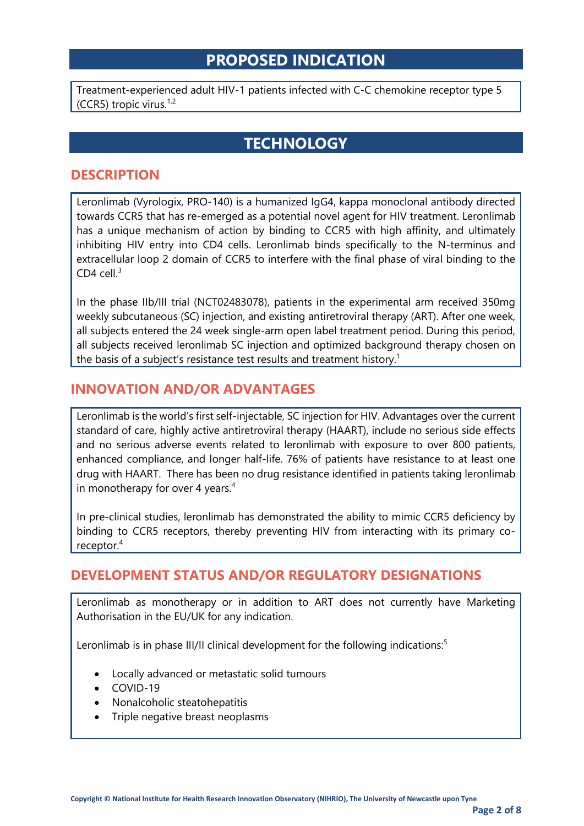### **PROPOSED INDICATION**

Treatment-experienced adult HIV-1 patients infected with C-C chemokine receptor type 5 (CCR5) tropic virus.<sup>1,2</sup>

### **TECHNOLOGY**

#### **DESCRIPTION**

Leronlimab (Vyrologix, PRO-140) is a humanized IgG4, kappa monoclonal antibody directed towards CCR5 that has re-emerged as a potential novel agent for HIV treatment. Leronlimab has a unique mechanism of action by binding to CCR5 with high affinity, and ultimately inhibiting HIV entry into CD4 cells. Leronlimab binds specifically to the N-terminus and extracellular loop 2 domain of CCR5 to interfere with the final phase of viral binding to the CD4 cell. $3$ 

In the phase IIb/III trial (NCT02483078), patients in the experimental arm received 350mg weekly subcutaneous (SC) injection, and existing antiretroviral therapy (ART). After one week, all subjects entered the 24 week single-arm open label treatment period. During this period, all subjects received leronlimab SC injection and optimized background therapy chosen on the basis of a subject's resistance test results and treatment history.<sup>1</sup>

#### **INNOVATION AND/OR ADVANTAGES**

Leronlimab is the world's first self-injectable, SC injection for HIV. Advantages over the current standard of care, highly active antiretroviral therapy (HAART), include no serious side effects and no serious adverse events related to leronlimab with exposure to over 800 patients, enhanced compliance, and longer half-life. 76% of patients have resistance to at least one drug with HAART. There has been no drug resistance identified in patients taking leronlimab in monotherapy for over 4 years.<sup>4</sup>

In pre-clinical studies, leronlimab has demonstrated the ability to mimic CCR5 deficiency by binding to CCR5 receptors, thereby preventing HIV from interacting with its primary coreceptor. 4

#### **DEVELOPMENT STATUS AND/OR REGULATORY DESIGNATIONS**

Leronlimab as monotherapy or in addition to ART does not currently have Marketing Authorisation in the EU/UK for any indication.

Leronlimab is in phase III/II clinical development for the following indications:<sup>5</sup>

- Locally advanced or metastatic solid tumours
- COVID-19
- Nonalcoholic steatohepatitis
- Triple negative breast neoplasms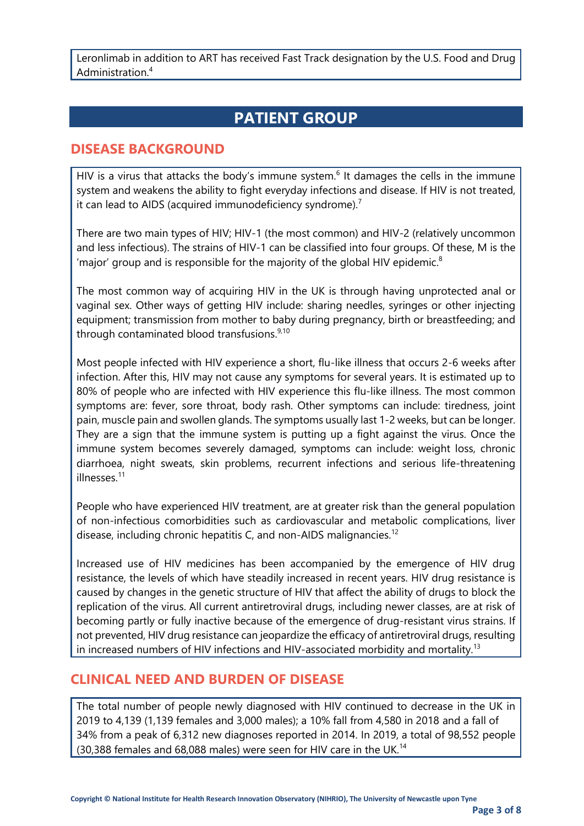Leronlimab in addition to ART has received Fast Track designation by the U.S. Food and Drug Administration. 4

### **PATIENT GROUP**

#### **DISEASE BACKGROUND**

HIV is a virus that attacks the body's immune system.<sup>6</sup> It damages the cells in the immune system and weakens the ability to fight everyday infections and disease. If HIV is not treated, it can lead to AIDS (acquired immunodeficiency syndrome).<sup>7</sup>

There are two main types of HIV; HIV-1 (the most common) and HIV-2 (relatively uncommon and less infectious). The strains of HIV-1 can be classified into four groups. Of these, M is the 'major' group and is responsible for the majority of the global HIV epidemic. $8$ 

The most common way of acquiring HIV in the UK is through having unprotected anal or vaginal sex. Other ways of getting HIV include: sharing needles, syringes or other injecting equipment; transmission from mother to baby during pregnancy, birth or breastfeeding; and through contaminated blood transfusions.<sup>9,10</sup>

Most people infected with HIV experience a short, flu-like illness that occurs 2-6 weeks after infection. After this, HIV may not cause any symptoms for several years. It is estimated up to 80% of people who are infected with HIV experience this flu-like illness. The most common symptoms are: fever, sore throat, body rash. Other symptoms can include: tiredness, joint pain, muscle pain and swollen glands. The symptoms usually last 1-2 weeks, but can be longer. They are a sign that the immune system is putting up a fight against the virus. Once the immune system becomes severely damaged, symptoms can include: weight loss, chronic diarrhoea, night sweats, skin problems, recurrent infections and serious life-threatening illnesses. 11

People who have experienced HIV treatment, are at greater risk than the general population of non-infectious comorbidities such as cardiovascular and metabolic complications, liver disease, including chronic hepatitis C, and non-AIDS malignancies.<sup>12</sup>

Increased use of HIV medicines has been accompanied by the emergence of HIV drug resistance, the levels of which have steadily increased in recent years. HIV drug resistance is caused by changes in the genetic structure of HIV that affect the ability of drugs to block the replication of the virus. All current antiretroviral drugs, including newer classes, are at risk of becoming partly or fully inactive because of the emergence of drug-resistant virus strains. If not prevented, HIV drug resistance can jeopardize the efficacy of antiretroviral drugs, resulting in increased numbers of HIV infections and HIV-associated morbidity and mortality.<sup>13</sup>

#### **CLINICAL NEED AND BURDEN OF DISEASE**

The total number of people newly diagnosed with HIV continued to decrease in the UK in 2019 to 4,139 (1,139 females and 3,000 males); a 10% fall from 4,580 in 2018 and a fall of 34% from a peak of 6,312 new diagnoses reported in 2014. In 2019, a total of 98,552 people (30,388 females and 68,088 males) were seen for HIV care in the UK.<sup>14</sup>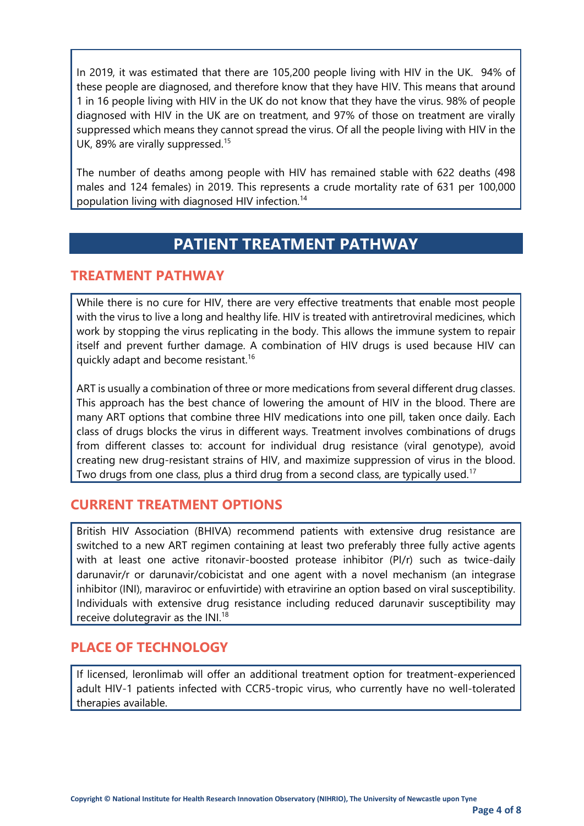In 2019, it was estimated that there are 105,200 people living with HIV in the UK. 94% of these people are diagnosed, and therefore know that they have HIV. This means that around 1 in 16 people living with HIV in the UK do not know that they have the virus. 98% of people diagnosed with HIV in the UK are on treatment, and 97% of those on treatment are virally suppressed which means they cannot spread the virus. Of all the people living with HIV in the UK, 89% are virally suppressed.<sup>15</sup>

The number of deaths among people with HIV has remained stable with 622 deaths (498 males and 124 females) in 2019. This represents a crude mortality rate of 631 per 100,000 population living with diagnosed HIV infection.<sup>14</sup>

#### **PATIENT TREATMENT PATHWAY**

#### **TREATMENT PATHWAY**

While there is no cure for HIV, there are very effective treatments that enable most people with the virus to live a long and healthy life. HIV is treated with antiretroviral medicines, which work by stopping the virus replicating in the body. This allows the immune system to repair itself and prevent further damage. A combination of HIV drugs is used because HIV can quickly adapt and become resistant.<sup>16</sup>

ART is usually a combination of three or more medications from several different drug classes. This approach has the best chance of lowering the amount of HIV in the blood. There are many ART options that combine three HIV medications into one pill, taken once daily. Each class of drugs blocks the virus in different ways. Treatment involves combinations of drugs from different classes to: account for individual drug resistance (viral genotype), avoid creating new drug-resistant strains of HIV, and maximize suppression of virus in the blood. Two drugs from one class, plus a third drug from a second class, are typically used.<sup>17</sup>

#### **CURRENT TREATMENT OPTIONS**

British HIV Association (BHIVA) recommend patients with extensive drug resistance are switched to a new ART regimen containing at least two preferably three fully active agents with at least one active ritonavir-boosted protease inhibitor (PI/r) such as twice-daily darunavir/r or darunavir/cobicistat and one agent with a novel mechanism (an integrase inhibitor (INI), maraviroc or enfuvirtide) with etravirine an option based on viral susceptibility. Individuals with extensive drug resistance including reduced darunavir susceptibility may receive dolutegravir as the INI.<sup>18</sup>

#### **PLACE OF TECHNOLOGY**

If licensed, leronlimab will offer an additional treatment option for treatment-experienced adult HIV-1 patients infected with CCR5-tropic virus, who currently have no well-tolerated therapies available.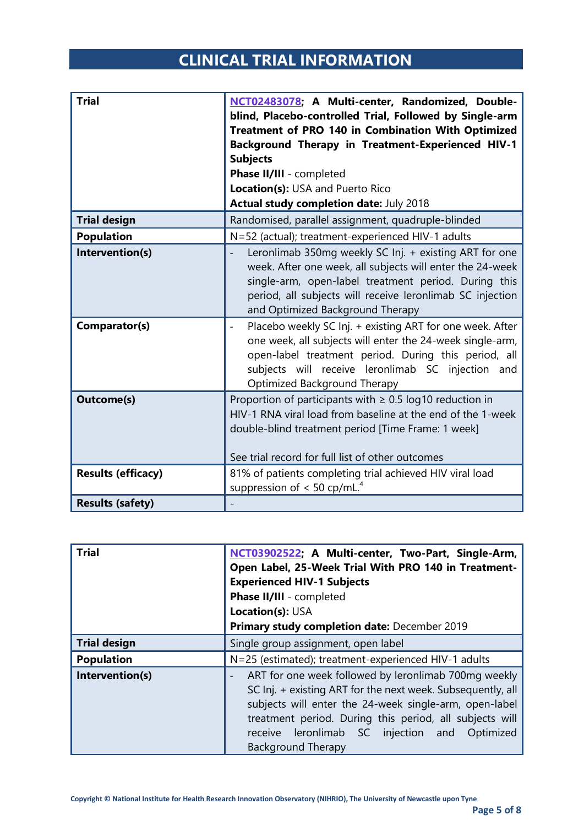### **CLINICAL TRIAL INFORMATION**

| <b>Trial</b>              | NCT02483078; A Multi-center, Randomized, Double-<br>blind, Placebo-controlled Trial, Followed by Single-arm<br>Treatment of PRO 140 in Combination With Optimized<br><b>Background Therapy in Treatment-Experienced HIV-1</b><br><b>Subjects</b><br>Phase II/III - completed<br>Location(s): USA and Puerto Rico<br>Actual study completion date: July 2018 |
|---------------------------|-------------------------------------------------------------------------------------------------------------------------------------------------------------------------------------------------------------------------------------------------------------------------------------------------------------------------------------------------------------|
| <b>Trial design</b>       | Randomised, parallel assignment, quadruple-blinded                                                                                                                                                                                                                                                                                                          |
| <b>Population</b>         | N=52 (actual); treatment-experienced HIV-1 adults                                                                                                                                                                                                                                                                                                           |
| Intervention(s)           | Leronlimab 350mg weekly SC Inj. + existing ART for one<br>week. After one week, all subjects will enter the 24-week<br>single-arm, open-label treatment period. During this<br>period, all subjects will receive leronlimab SC injection<br>and Optimized Background Therapy                                                                                |
| Comparator(s)             | Placebo weekly SC Inj. + existing ART for one week. After<br>$\overline{\phantom{a}}$<br>one week, all subjects will enter the 24-week single-arm,<br>open-label treatment period. During this period, all<br>subjects will receive leronlimab SC injection and<br>Optimized Background Therapy                                                             |
| <b>Outcome(s)</b>         | Proportion of participants with $\geq 0.5$ log10 reduction in<br>HIV-1 RNA viral load from baseline at the end of the 1-week<br>double-blind treatment period [Time Frame: 1 week]<br>See trial record for full list of other outcomes                                                                                                                      |
| <b>Results (efficacy)</b> | 81% of patients completing trial achieved HIV viral load<br>suppression of $< 50$ cp/mL. <sup>4</sup>                                                                                                                                                                                                                                                       |
| <b>Results (safety)</b>   |                                                                                                                                                                                                                                                                                                                                                             |

| <b>Trial</b>        | NCT03902522; A Multi-center, Two-Part, Single-Arm,<br>Open Label, 25-Week Trial With PRO 140 in Treatment-<br><b>Experienced HIV-1 Subjects</b><br>Phase II/III - completed<br>Location(s): USA<br>Primary study completion date: December 2019                                                                                                       |
|---------------------|-------------------------------------------------------------------------------------------------------------------------------------------------------------------------------------------------------------------------------------------------------------------------------------------------------------------------------------------------------|
| <b>Trial design</b> | Single group assignment, open label                                                                                                                                                                                                                                                                                                                   |
| <b>Population</b>   | N=25 (estimated); treatment-experienced HIV-1 adults                                                                                                                                                                                                                                                                                                  |
| Intervention(s)     | ART for one week followed by leronlimab 700mg weekly<br>$\overline{\phantom{0}}$<br>SC Inj. + existing ART for the next week. Subsequently, all<br>subjects will enter the 24-week single-arm, open-label<br>treatment period. During this period, all subjects will<br>receive leronlimab SC injection and<br>Optimized<br><b>Background Therapy</b> |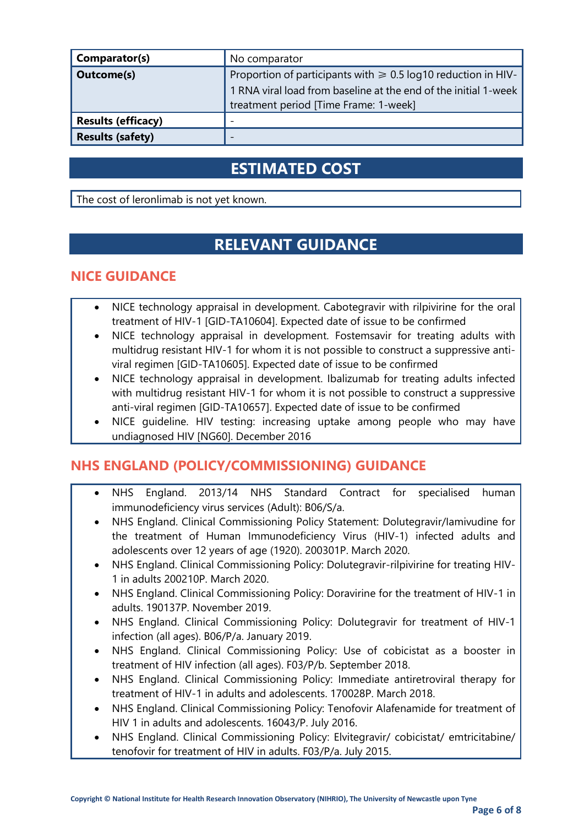| Comparator(s)             | No comparator                                                                                                                                                                  |
|---------------------------|--------------------------------------------------------------------------------------------------------------------------------------------------------------------------------|
| Outcome(s)                | Proportion of participants with $\geq 0.5$ log10 reduction in HIV-<br>1 RNA viral load from baseline at the end of the initial 1-week<br>treatment period [Time Frame: 1-week] |
| <b>Results (efficacy)</b> |                                                                                                                                                                                |
| <b>Results (safety)</b>   |                                                                                                                                                                                |

### **ESTIMATED COST**

The cost of leronlimab is not yet known.

### **RELEVANT GUIDANCE**

#### **NICE GUIDANCE**

- NICE technology appraisal in development. Cabotegravir with rilpivirine for the oral treatment of HIV-1 [GID-TA10604]. Expected date of issue to be confirmed
- NICE technology appraisal in development. Fostemsavir for treating adults with multidrug resistant HIV-1 for whom it is not possible to construct a suppressive antiviral regimen [GID-TA10605]. Expected date of issue to be confirmed
- NICE technology appraisal in development. Ibalizumab for treating adults infected with multidrug resistant HIV-1 for whom it is not possible to construct a suppressive anti-viral regimen [GID-TA10657]. Expected date of issue to be confirmed
- NICE guideline. HIV testing: increasing uptake among people who may have undiagnosed HIV [NG60]. December 2016

#### **NHS ENGLAND (POLICY/COMMISSIONING) GUIDANCE**

- NHS England. 2013/14 NHS Standard Contract for specialised human immunodeficiency virus services (Adult): B06/S/a.
- NHS England. Clinical Commissioning Policy Statement: Dolutegravir/Iamivudine for the treatment of Human Immunodeficiency Virus (HIV-1) infected adults and adolescents over 12 years of age (1920). 200301P. March 2020.
- NHS England. Clinical Commissioning Policy: Dolutegravir-rilpivirine for treating HIV-1 in adults 200210P. March 2020.
- NHS England. Clinical Commissioning Policy: Doravirine for the treatment of HIV-1 in adults. 190137P. November 2019.
- NHS England. Clinical Commissioning Policy: Dolutegravir for treatment of HIV-1 infection (all ages). B06/P/a. January 2019.
- NHS England. Clinical Commissioning Policy: Use of cobicistat as a booster in treatment of HIV infection (all ages). F03/P/b. September 2018.
- NHS England. Clinical Commissioning Policy: Immediate antiretroviral therapy for treatment of HIV-1 in adults and adolescents. 170028P. March 2018.
- NHS England. Clinical Commissioning Policy: Tenofovir Alafenamide for treatment of HIV 1 in adults and adolescents. 16043/P. July 2016.
- NHS England. Clinical Commissioning Policy: Elvitegravir/ cobicistat/ emtricitabine/ tenofovir for treatment of HIV in adults. F03/P/a. July 2015.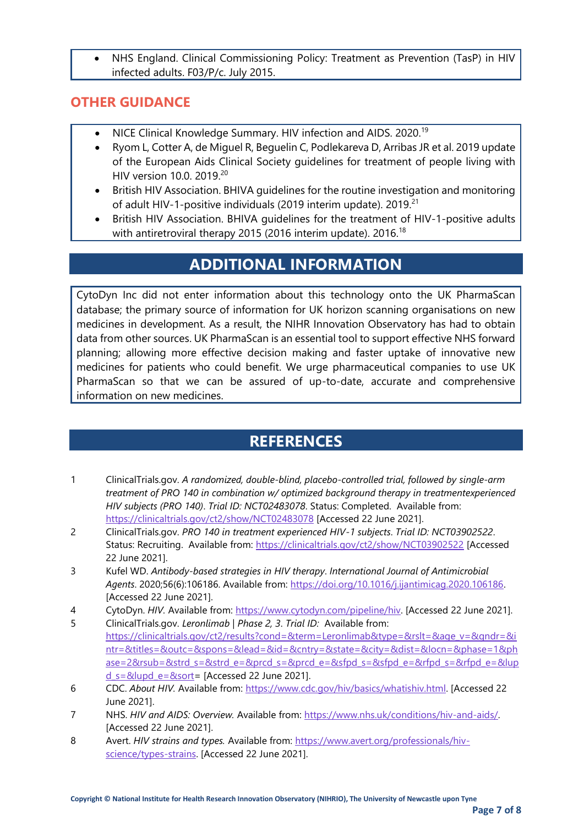• NHS England. Clinical Commissioning Policy: Treatment as Prevention (TasP) in HIV infected adults. F03/P/c. July 2015.

#### **OTHER GUIDANCE**

- NICE Clinical Knowledge Summary. HIV infection and AIDS. 2020.<sup>19</sup>
- Ryom L, Cotter A, de Miguel R, Beguelin C, Podlekareva D, Arribas JR et al. 2019 update of the European Aids Clinical Society guidelines for treatment of people living with HIV version 10.0. 2019.<sup>20</sup>
- British HIV Association. BHIVA guidelines for the routine investigation and monitoring of adult HIV-1-positive individuals (2019 interim update). 2019.<sup>21</sup>
- British HIV Association. BHIVA guidelines for the treatment of HIV-1-positive adults with antiretroviral therapy 2015 (2016 interim update). 2016.<sup>18</sup>

### **ADDITIONAL INFORMATION**

CytoDyn Inc did not enter information about this technology onto the UK PharmaScan database; the primary source of information for UK horizon scanning organisations on new medicines in development. As a result, the NIHR Innovation Observatory has had to obtain data from other sources. UK PharmaScan is an essential tool to support effective NHS forward planning; allowing more effective decision making and faster uptake of innovative new medicines for patients who could benefit. We urge pharmaceutical companies to use UK PharmaScan so that we can be assured of up-to-date, accurate and comprehensive information on new medicines.

### **REFERENCES**

- 1 ClinicalTrials.gov. *A randomized, double-blind, placebo-controlled trial, followed by single-arm treatment of PRO 140 in combination w/ optimized background therapy in treatmentexperienced HIV subjects (PRO 140)*. *Trial ID: NCT02483078*. Status: Completed. Available from: <https://clinicaltrials.gov/ct2/show/NCT02483078> [Accessed 22 June 2021].
- 2 ClinicalTrials.gov. *PRO 140 in treatment experienced HIV-1 subjects*. *Trial ID: NCT03902522*. Status: Recruiting. Available from:<https://clinicaltrials.gov/ct2/show/NCT03902522> [Accessed 22 June 2021].
- 3 Kufel WD. *Antibody-based strategies in HIV therapy*. *International Journal of Antimicrobial Agents*. 2020;56(6):106186. Available from: [https://doi.org/10.1016/j.ijantimicag.2020.106186.](https://doi.org/10.1016/j.ijantimicag.2020.106186)  [Accessed 22 June 2021].
- 4 CytoDyn. *HIV.* Available from: [https://www.cytodyn.com/pipeline/hiv.](https://www.cytodyn.com/pipeline/hiv) [Accessed 22 June 2021].
- 5 ClinicalTrials.gov. *Leronlimab | Phase 2, 3*. *Trial ID:* Available from: [https://clinicaltrials.gov/ct2/results?cond=&term=Leronlimab&type=&rslt=&age\\_v=&gndr=&i](https://clinicaltrials.gov/ct2/results?cond=&term=Leronlimab&type=&rslt=&age_v=&gndr=&intr=&titles=&outc=&spons=&lead=&id=&cntry=&state=&city=&dist=&locn=&phase=1&phase=2&rsub=&strd_s=&strd_e=&prcd_s=&prcd_e=&sfpd_s=&sfpd_e=&rfpd_s=&rfpd_e=&lupd_s=&lupd_e=&sort) [ntr=&titles=&outc=&spons=&lead=&id=&cntry=&state=&city=&dist=&locn=&phase=1&ph](https://clinicaltrials.gov/ct2/results?cond=&term=Leronlimab&type=&rslt=&age_v=&gndr=&intr=&titles=&outc=&spons=&lead=&id=&cntry=&state=&city=&dist=&locn=&phase=1&phase=2&rsub=&strd_s=&strd_e=&prcd_s=&prcd_e=&sfpd_s=&sfpd_e=&rfpd_s=&rfpd_e=&lupd_s=&lupd_e=&sort) [ase=2&rsub=&strd\\_s=&strd\\_e=&prcd\\_s=&prcd\\_e=&sfpd\\_s=&sfpd\\_e=&rfpd\\_s=&rfpd\\_e=&lup](https://clinicaltrials.gov/ct2/results?cond=&term=Leronlimab&type=&rslt=&age_v=&gndr=&intr=&titles=&outc=&spons=&lead=&id=&cntry=&state=&city=&dist=&locn=&phase=1&phase=2&rsub=&strd_s=&strd_e=&prcd_s=&prcd_e=&sfpd_s=&sfpd_e=&rfpd_s=&rfpd_e=&lupd_s=&lupd_e=&sort)  $d$  s=&lupd\_e=&sort= [Accessed 22 June 2021].
- 6 CDC. *About HIV.* Available from: [https://www.cdc.gov/hiv/basics/whatishiv.html.](https://www.cdc.gov/hiv/basics/whatishiv.html) [Accessed 22 June 2021].
- 7 NHS. *HIV and AIDS: Overview.* Available from: [https://www.nhs.uk/conditions/hiv-and-aids/.](https://www.nhs.uk/conditions/hiv-and-aids/)  [Accessed 22 June 2021].
- 8 Avert. *HIV strains and types.* Available from: [https://www.avert.org/professionals/hiv](https://www.avert.org/professionals/hiv-science/types-strains)[science/types-strains.](https://www.avert.org/professionals/hiv-science/types-strains) [Accessed 22 June 2021].